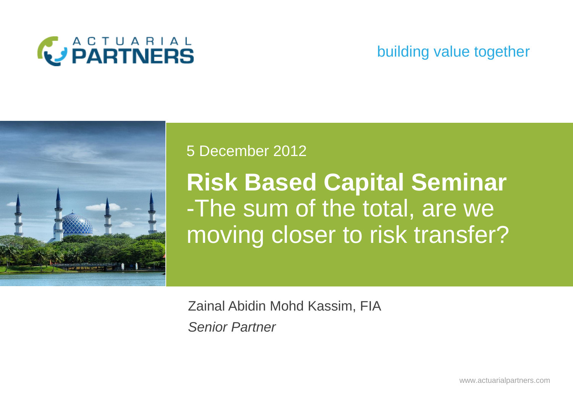

### building value together



#### 5 December 2012

**Risk Based Capital Seminar** -The sum of the total, are we moving closer to risk transfer?

Zainal Abidin Mohd Kassim, FIA *Senior Partner*

www.actuarialpartners.com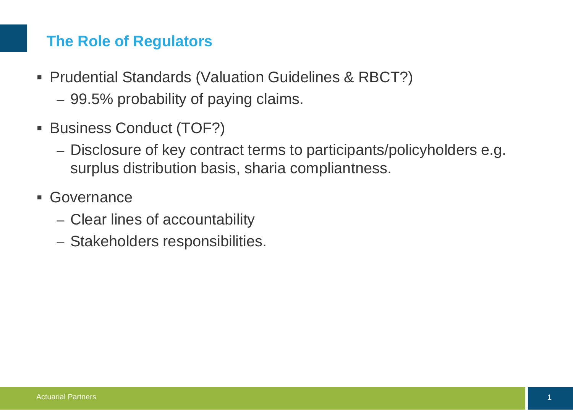# **The Role of Regulators**

- Prudential Standards (Valuation Guidelines & RBCT?)
	- 99.5% probability of paying claims.
- **Business Conduct (TOF?)** 
	- Disclosure of key contract terms to participants/policyholders e.g. surplus distribution basis, sharia compliantness.
- Governance
	- Clear lines of accountability
	- Stakeholders responsibilities.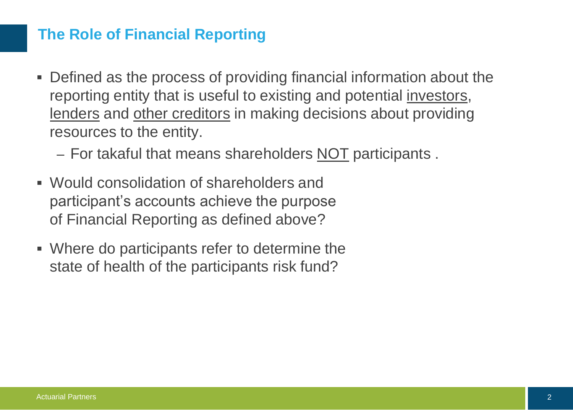# **The Role of Financial Reporting**

- Defined as the process of providing financial information about the reporting entity that is useful to existing and potential investors, lenders and other creditors in making decisions about providing resources to the entity.
	- For takaful that means shareholders NOT participants .
- Would consolidation of shareholders and participant's accounts achieve the purpose of Financial Reporting as defined above?
- Where do participants refer to determine the state of health of the participants risk fund?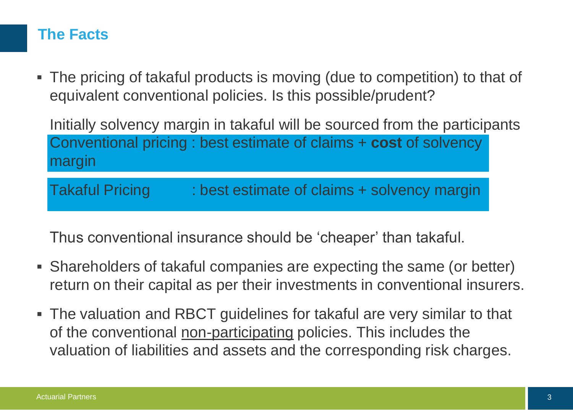# **The Facts**

 The pricing of takaful products is moving (due to competition) to that of equivalent conventional policies. Is this possible/prudent?

Initially solvency margin in takaful will be sourced from the participants Conventional pricing : best estimate of claims + **cost** of solvency margin

Takaful Pricing : best estimate of claims + solvency margin

Thus conventional insurance should be 'cheaper' than takaful.

- Shareholders of takaful companies are expecting the same (or better) return on their capital as per their investments in conventional insurers.
- The valuation and RBCT guidelines for takaful are very similar to that of the conventional non-participating policies. This includes the valuation of liabilities and assets and the corresponding risk charges.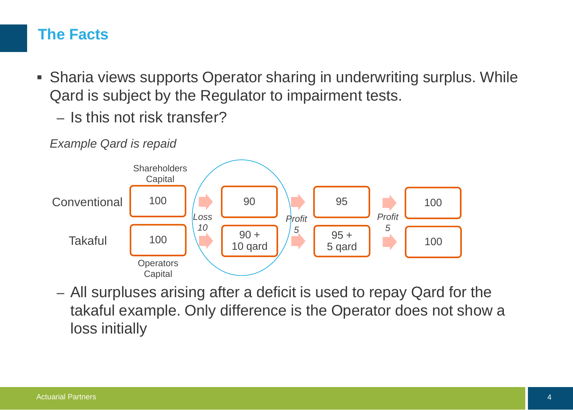# **The Facts**

- Sharia views supports Operator sharing in underwriting surplus. While Qard is subject by the Regulator to impairment tests.
	- Is this not risk transfer?



*Example Qard is repaid*

– All surpluses arising after a deficit is used to repay Qard for the takaful example. Only difference is the Operator does not show a loss initially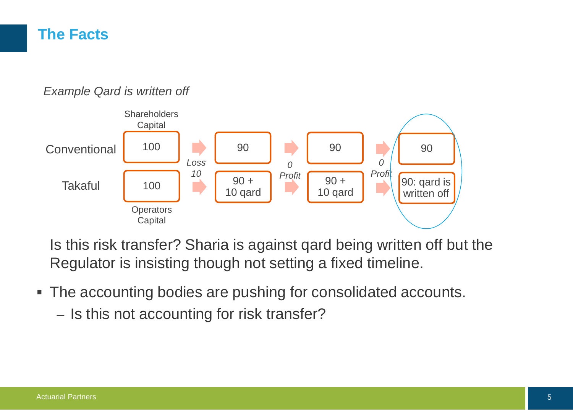## **The Facts**

#### *Example Qard is written off*



Is this risk transfer? Sharia is against qard being written off but the Regulator is insisting though not setting a fixed timeline.

- The accounting bodies are pushing for consolidated accounts.
	- Is this not accounting for risk transfer?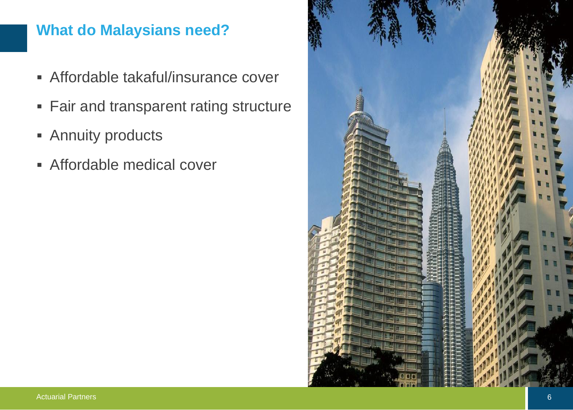# **What do Malaysians need?**

- Affordable takaful/insurance cover
- **Fair and transparent rating structure**
- **Annuity products**
- Affordable medical cover

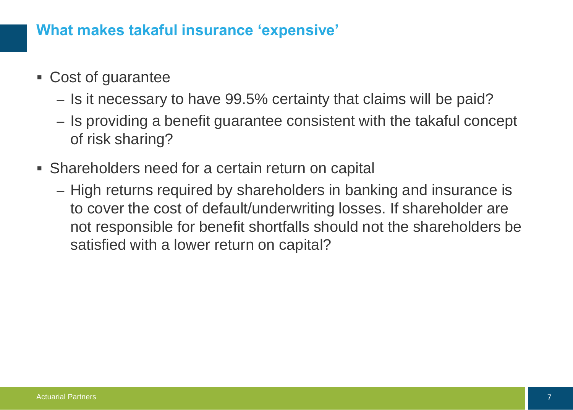### **What makes takaful insurance 'expensive'**

- Cost of guarantee
	- Is it necessary to have 99.5% certainty that claims will be paid?
	- Is providing a benefit guarantee consistent with the takaful concept of risk sharing?
- Shareholders need for a certain return on capital
	- High returns required by shareholders in banking and insurance is to cover the cost of default/underwriting losses. If shareholder are not responsible for benefit shortfalls should not the shareholders be satisfied with a lower return on capital?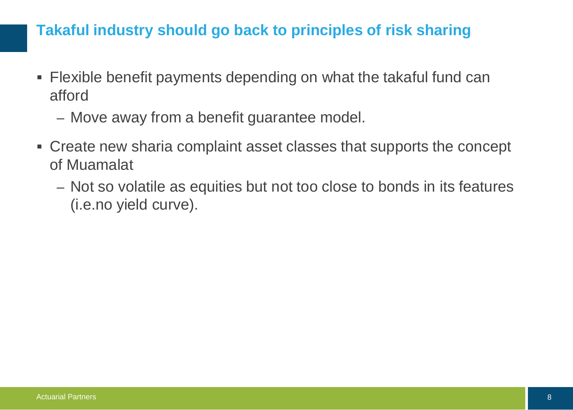# **Takaful industry should go back to principles of risk sharing**

- Flexible benefit payments depending on what the takaful fund can afford
	- Move away from a benefit guarantee model.
- Create new sharia complaint asset classes that supports the concept of Muamalat
	- Not so volatile as equities but not too close to bonds in its features (i.e.no yield curve).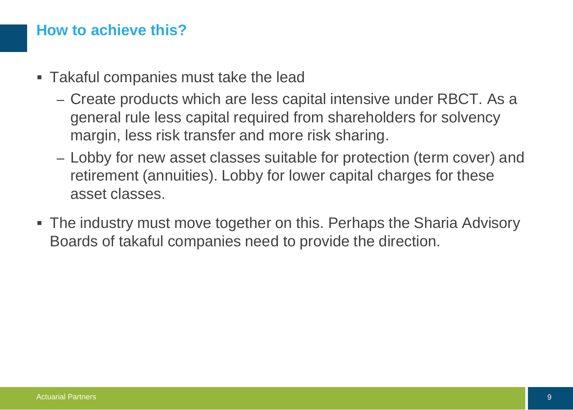### **How to achieve this?**

- Takaful companies must take the lead
	- Create products which are less capital intensive under RBCT. As a general rule less capital required from shareholders for solvency margin, less risk transfer and more risk sharing.
	- Lobby for new asset classes suitable for protection (term cover) and retirement (annuities). Lobby for lower capital charges for these asset classes.
- The industry must move together on this. Perhaps the Sharia Advisory Boards of takaful companies need to provide the direction.